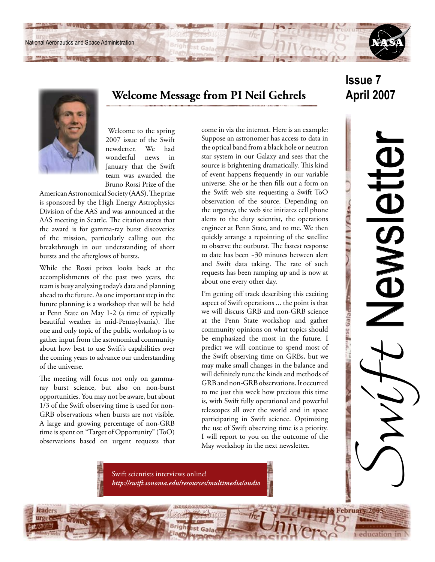National Aeronautics and Space Administration



# **Welcome Message from PI Neil Gehrels**

 Welcome to the spring 2007 issue of the Swift newsletter. We had wonderful news in January that the Swift team was awarded the Bruno Rossi Prize of the

American Astronomical Society (AAS). The prize is sponsored by the High Energy Astrophysics Division of the AAS and was announced at the AAS meeting in Seattle. The citation states that the award is for gamma-ray burst discoveries of the mission, particularly calling out the breakthrough in our understanding of short bursts and the afterglows of bursts.

While the Rossi prizes looks back at the accomplishments of the past two years, the team is busy analyzing today's data and planning ahead to the future. As one important step in the future planning is a workshop that will be held at Penn State on May 1-2 (a time of typically beautiful weather in mid-Pennsylvania). The one and only topic of the public workshop is to gather input from the astronomical community about how best to use Swift's capabilities over the coming years to advance our understanding of the universe.

The meeting will focus not only on gammaray burst science, but also on non-burst opportunities. You may not be aware, but about 1/3 of the Swift observing time is used for non-GRB observations when bursts are not visible. A large and growing percentage of non-GRB time is spent on "Target of Opportunity" (ToO) observations based on urgent requests that

come in via the internet. Here is an example: Suppose an astronomer has access to data in the optical band from a black hole or neutron star system in our Galaxy and sees that the source is brightening dramatically. This kind of event happens frequently in our variable universe. She or he then fills out a form on the Swift web site requesting a Swift ToO observation of the source. Depending on the urgency, the web site initiates cell phone alerts to the duty scientist, the operations engineer at Penn State, and to me. We then quickly arrange a repointing of the satellite to observe the outburst. The fastest response to date has been ~30 minutes between alert and Swift data taking. The rate of such requests has been ramping up and is now at about one every other day.

I'm getting off track describing this exciting aspect of Swift operations ... the point is that we will discuss GRB and non-GRB science at the Penn State workshop and gather community opinions on what topics should be emphasized the most in the future. I predict we will continue to spend most of the Swift observing time on GRBs, but we may make small changes in the balance and will definitely tune the kinds and methods of GRB and non-GRB observations. It occurred to me just this week how precious this time is, with Swift fully operational and powerful telescopes all over the world and in space participating in Swift science. Optimizing the use of Swift observing time is a priority. I will report to you on the outcome of the May workshop in the next newsletter.

Swift scientists interviews online! *<http://swift.sonoma.edu/resources/multimedia/audio>*

# **Issue 7 April 2007**

education in

February 200

Swyt Newsletter

**IBWSIBT** 

 $11/11$ 

Peleo asalara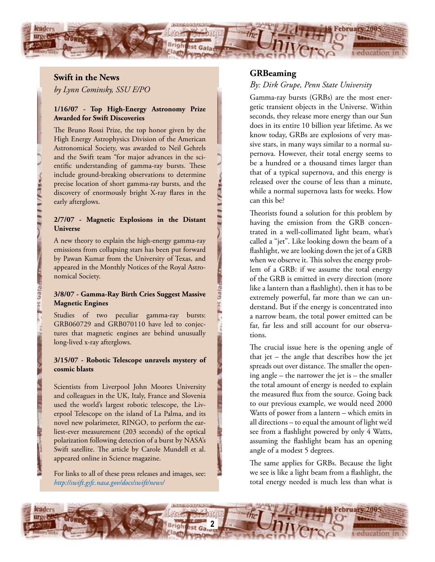

#### **Swift in the News**

Gleo

*by Lynn Cominsky, SSU E/PO*

### **1/16/07 - Top High-Energy Astronomy Prize Awarded for Swift Discoveries**

The Bruno Rossi Prize, the top honor given by the High Energy Astrophysics Division of the American Astronomical Society, was awarded to Neil Gehrels and the Swift team "for major advances in the scientific understanding of gamma-ray bursts. These include ground-breaking observations to determine precise location of short gamma-ray bursts, and the discovery of enormously bright X-ray flares in the early afterglows.

#### **2/7/07 - Magnetic Explosions in the Distant Universe**

A new theory to explain the high-energy gamma-ray emissions from collapsing stars has been put forward by Pawan Kumar from the University of Texas, and appeared in the Monthly Notices of the Royal Astronomical Society.

#### **3/8/07 - Gamma-Ray Birth Cries Suggest Massive Magnetic Engines**

Studies of two peculiar gamma-ray bursts: GRB060729 and GRB070110 have led to conjectures that magnetic engines are behind unusually long-lived x-ray afterglows.

#### **3/15/07 - Robotic Telescope unravels mystery of cosmic blasts**

Scientists from Liverpool John Moores University and colleagues in the UK, Italy, France and Slovenia used the world's largest robotic telescope, the Liverpool Telescope on the island of La Palma, and its novel new polarimeter, RINGO, to perform the earliest-ever measurement (203 seconds) of the optical polarization following detection of a burst by NASA's Swift satellite. The article by Carole Mundell et al. appeared online in Science magazine.

For links to all of these press releases and images, see: *<http://swift.gsfc.nasa.gov/docs/swift/news/>*

### **GRBeaming**

#### *By: Dirk Grupe, Penn State University*

Gamma-ray bursts (GRBs) are the most energetic transient objects in the Universe. Within seconds, they release more energy than our Sun does in its entire 10 billion year lifetime. As we know today, GRBs are explosions of very massive stars, in many ways similar to a normal supernova. However, their total energy seems to be a hundred or a thousand times larger than that of a typical supernova, and this energy is released over the course of less than a minute, while a normal supernova lasts for weeks. How can this be?

Theorists found a solution for this problem by having the emission from the GRB concentrated in a well-collimated light beam, what's called a "jet". Like looking down the beam of a flashlight, we are looking down the jet of a GRB when we observe it. This solves the energy problem of a GRB: if we assume the total energy of the GRB is emitted in every direction (more like a lantern than a flashlight), then it has to be extremely powerful, far more than we can understand. But if the energy is concentrated into a narrow beam, the total power emitted can be far, far less and still account for our observations.

The crucial issue here is the opening angle of that jet – the angle that describes how the jet spreads out over distance. The smaller the opening angle – the narrower the jet is – the smaller the total amount of energy is needed to explain the measured flux from the source. Going back to our previous example, we would need 2000 Watts of power from a lantern – which emits in all directions – to equal the amount of light we'd see from a flashlight powered by only 4 Watts, assuming the flashlight beam has an opening angle of a modest 5 degrees.

The same applies for GRBs. Because the light we see is like a light beam from a flashlight, the total energy needed is much less than what is

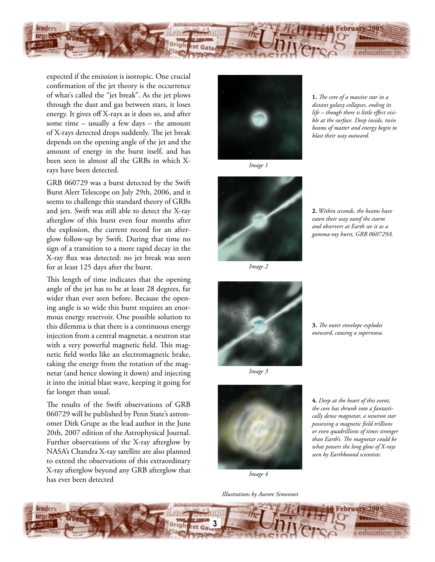

expected if the emission is isotropic. One crucial confirmation of the jet theory is the occurrence of what's called the "jet break". As the jet plows through the dust and gas between stars, it loses energy. It gives off X-rays as it does so, and after some time – usually a few days – the amount of X-rays detected drops suddenly. The jet break depends on the opening angle of the jet and the amount of energy in the burst itself, and has been seen in almost all the GRBs in which Xrays have been detected.

GRB 060729 was a burst detected by the Swift Burst Alert Telescope on July 29th, 2006, and it seems to challenge this standard theory of GRBs and jets. Swift was still able to detect the X-ray afterglow of this burst even four months after the explosion, the current record for an afterglow follow-up by Swift. During that time no sign of a transition to a more rapid decay in the X-ray flux was detected: no jet break was seen for at least 125 days after the burst.

This length of time indicates that the opening angle of the jet has to be at least 28 degrees, far wider than ever seen before. Because the opening angle is so wide this burst requires an enormous energy reservoir. One possible solution to this dilemma is that there is a continuous energy injection from a central magnetar, a neutron star with a very powerful magnetic field. This magnetic field works like an electromagnetic brake, taking the energy from the rotation of the magnetar (and hence slowing it down) and injecting it into the initial blast wave, keeping it going for far longer than usual.

The results of the Swift observations of GRB 060729 will be published by Penn State's astronomer Dirk Grupe as the lead author in the June 20th, 2007 edition of the Astrophysical Journal. Further observations of the X-ray afterglow by NASA's Chandra X-ray satellite are also planned to extend the observations of this extraordinary X-ray afterglow beyond any GRB afterglow that has ever been detected



*Image 1*

**1.** *The core of a massive star in a distant galaxy collapses, ending its life – though there is little effect visible at the surface. Deep inside, twin beams of matter and energy begin to blast their way outward.*



*Image 2*



*Image 3*



**4.** *Deep at the heart of this event, the core has shrunk into a fantastically dense magnetar, a neutron star possessing a magnetic field trillions or even quadrillions of times stronger than Earth's. The magnetar could be what powers the long glow of X-rays seen by Earthbound scientists.*

*Illustrations by Aurore Simonnet*



**2.** *Within seconds, the beams have eaten their way outof the starm and observers at Earth see it as a gamma-ray burst, GRB 060729A.*

**3.** *The outer envelope explodes outward, causing a supernova.*